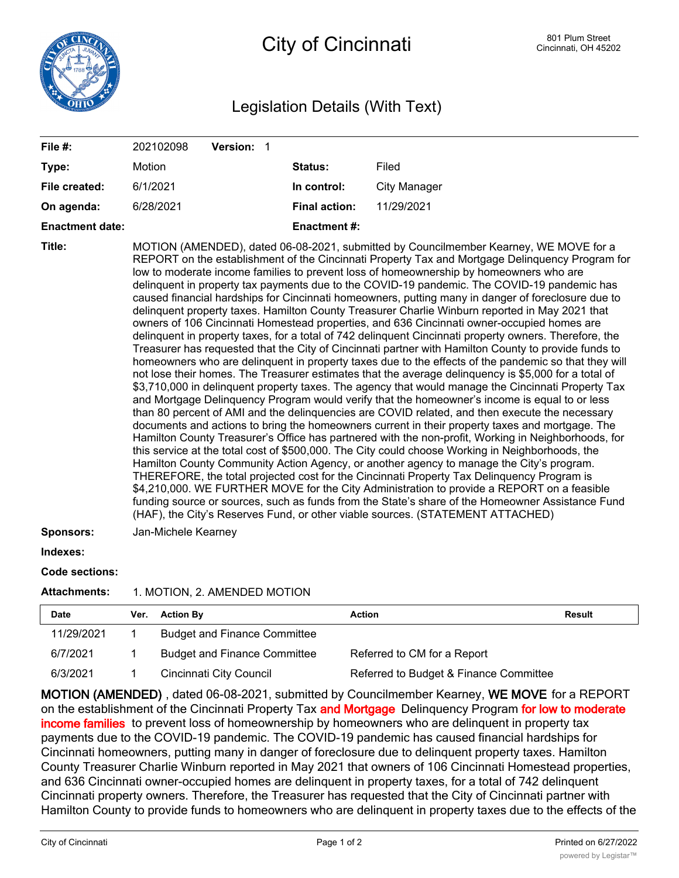

## Legislation Details (With Text)

| File #:                |                | 202102098           | Version: 1                         |                      |                                                                                                                                                                                                                                                                                                                                                                                                                                                                                                                                                                                                                                                                                                                                                                                                                                                                                                                                                                                                                                                                                                                                                                                                                                                                                                                                                                                                                                                                                                                                                                                                                                                                                                                                                                                                                                                                                                                                                                                                                                                                                                                                                                                                                                |               |
|------------------------|----------------|---------------------|------------------------------------|----------------------|--------------------------------------------------------------------------------------------------------------------------------------------------------------------------------------------------------------------------------------------------------------------------------------------------------------------------------------------------------------------------------------------------------------------------------------------------------------------------------------------------------------------------------------------------------------------------------------------------------------------------------------------------------------------------------------------------------------------------------------------------------------------------------------------------------------------------------------------------------------------------------------------------------------------------------------------------------------------------------------------------------------------------------------------------------------------------------------------------------------------------------------------------------------------------------------------------------------------------------------------------------------------------------------------------------------------------------------------------------------------------------------------------------------------------------------------------------------------------------------------------------------------------------------------------------------------------------------------------------------------------------------------------------------------------------------------------------------------------------------------------------------------------------------------------------------------------------------------------------------------------------------------------------------------------------------------------------------------------------------------------------------------------------------------------------------------------------------------------------------------------------------------------------------------------------------------------------------------------------|---------------|
| Type:                  | Motion         |                     |                                    | Status:              | Filed                                                                                                                                                                                                                                                                                                                                                                                                                                                                                                                                                                                                                                                                                                                                                                                                                                                                                                                                                                                                                                                                                                                                                                                                                                                                                                                                                                                                                                                                                                                                                                                                                                                                                                                                                                                                                                                                                                                                                                                                                                                                                                                                                                                                                          |               |
| File created:          | 6/1/2021       |                     |                                    | In control:          | <b>City Manager</b>                                                                                                                                                                                                                                                                                                                                                                                                                                                                                                                                                                                                                                                                                                                                                                                                                                                                                                                                                                                                                                                                                                                                                                                                                                                                                                                                                                                                                                                                                                                                                                                                                                                                                                                                                                                                                                                                                                                                                                                                                                                                                                                                                                                                            |               |
| On agenda:             |                | 6/28/2021           |                                    | <b>Final action:</b> | 11/29/2021                                                                                                                                                                                                                                                                                                                                                                                                                                                                                                                                                                                                                                                                                                                                                                                                                                                                                                                                                                                                                                                                                                                                                                                                                                                                                                                                                                                                                                                                                                                                                                                                                                                                                                                                                                                                                                                                                                                                                                                                                                                                                                                                                                                                                     |               |
| <b>Enactment date:</b> |                |                     |                                    | <b>Enactment#:</b>   |                                                                                                                                                                                                                                                                                                                                                                                                                                                                                                                                                                                                                                                                                                                                                                                                                                                                                                                                                                                                                                                                                                                                                                                                                                                                                                                                                                                                                                                                                                                                                                                                                                                                                                                                                                                                                                                                                                                                                                                                                                                                                                                                                                                                                                |               |
| Title:                 |                |                     |                                    |                      | MOTION (AMENDED), dated 06-08-2021, submitted by Councilmember Kearney, WE MOVE for a<br>REPORT on the establishment of the Cincinnati Property Tax and Mortgage Delinquency Program for<br>low to moderate income families to prevent loss of homeownership by homeowners who are<br>delinquent in property tax payments due to the COVID-19 pandemic. The COVID-19 pandemic has<br>caused financial hardships for Cincinnati homeowners, putting many in danger of foreclosure due to<br>delinquent property taxes. Hamilton County Treasurer Charlie Winburn reported in May 2021 that<br>owners of 106 Cincinnati Homestead properties, and 636 Cincinnati owner-occupied homes are<br>delinquent in property taxes, for a total of 742 delinquent Cincinnati property owners. Therefore, the<br>Treasurer has requested that the City of Cincinnati partner with Hamilton County to provide funds to<br>homeowners who are delinquent in property taxes due to the effects of the pandemic so that they will<br>not lose their homes. The Treasurer estimates that the average delinquency is \$5,000 for a total of<br>\$3,710,000 in delinquent property taxes. The agency that would manage the Cincinnati Property Tax<br>and Mortgage Delinquency Program would verify that the homeowner's income is equal to or less<br>than 80 percent of AMI and the delinquencies are COVID related, and then execute the necessary<br>documents and actions to bring the homeowners current in their property taxes and mortgage. The<br>Hamilton County Treasurer's Office has partnered with the non-profit, Working in Neighborhoods, for<br>this service at the total cost of \$500,000. The City could choose Working in Neighborhoods, the<br>Hamilton County Community Action Agency, or another agency to manage the City's program.<br>THEREFORE, the total projected cost for the Cincinnati Property Tax Delinguency Program is<br>\$4,210,000. WE FURTHER MOVE for the City Administration to provide a REPORT on a feasible<br>funding source or sources, such as funds from the State's share of the Homeowner Assistance Fund<br>(HAF), the City's Reserves Fund, or other viable sources. (STATEMENT ATTACHED) |               |
| Sponsors:              |                | Jan-Michele Kearney |                                    |                      |                                                                                                                                                                                                                                                                                                                                                                                                                                                                                                                                                                                                                                                                                                                                                                                                                                                                                                                                                                                                                                                                                                                                                                                                                                                                                                                                                                                                                                                                                                                                                                                                                                                                                                                                                                                                                                                                                                                                                                                                                                                                                                                                                                                                                                |               |
| Indexes:               |                |                     |                                    |                      |                                                                                                                                                                                                                                                                                                                                                                                                                                                                                                                                                                                                                                                                                                                                                                                                                                                                                                                                                                                                                                                                                                                                                                                                                                                                                                                                                                                                                                                                                                                                                                                                                                                                                                                                                                                                                                                                                                                                                                                                                                                                                                                                                                                                                                |               |
| <b>Code sections:</b>  |                |                     |                                    |                      |                                                                                                                                                                                                                                                                                                                                                                                                                                                                                                                                                                                                                                                                                                                                                                                                                                                                                                                                                                                                                                                                                                                                                                                                                                                                                                                                                                                                                                                                                                                                                                                                                                                                                                                                                                                                                                                                                                                                                                                                                                                                                                                                                                                                                                |               |
| <b>Attachments:</b>    |                |                     | 1. MOTION, 2. AMENDED MOTION       |                      |                                                                                                                                                                                                                                                                                                                                                                                                                                                                                                                                                                                                                                                                                                                                                                                                                                                                                                                                                                                                                                                                                                                                                                                                                                                                                                                                                                                                                                                                                                                                                                                                                                                                                                                                                                                                                                                                                                                                                                                                                                                                                                                                                                                                                                |               |
| Date                   | Ver.           | <b>Action By</b>    |                                    | <b>Action</b>        |                                                                                                                                                                                                                                                                                                                                                                                                                                                                                                                                                                                                                                                                                                                                                                                                                                                                                                                                                                                                                                                                                                                                                                                                                                                                                                                                                                                                                                                                                                                                                                                                                                                                                                                                                                                                                                                                                                                                                                                                                                                                                                                                                                                                                                | <b>Result</b> |
| 11000001               | $\overline{A}$ |                     | Dural and Finance $O_{\text{max}}$ |                      |                                                                                                                                                                                                                                                                                                                                                                                                                                                                                                                                                                                                                                                                                                                                                                                                                                                                                                                                                                                                                                                                                                                                                                                                                                                                                                                                                                                                                                                                                                                                                                                                                                                                                                                                                                                                                                                                                                                                                                                                                                                                                                                                                                                                                                |               |

| 1 1/29/2021 | <b>Dudget and Finance Commutee</b>  |                                        |
|-------------|-------------------------------------|----------------------------------------|
| 6/7/2021    | <b>Budget and Finance Committee</b> | Referred to CM for a Report            |
| 6/3/2021    | Cincinnati City Council             | Referred to Budget & Finance Committee |

**MOTION (AMENDED)** , dated 06-08-2021, submitted by Councilmember Kearney, **WE MOVE** for a REPORT on the establishment of the Cincinnati Property Tax **and Mortgage** Delinquency Program **for low to moderate income families** to prevent loss of homeownership by homeowners who are delinquent in property tax payments due to the COVID-19 pandemic. The COVID-19 pandemic has caused financial hardships for Cincinnati homeowners, putting many in danger of foreclosure due to delinquent property taxes. Hamilton County Treasurer Charlie Winburn reported in May 2021 that owners of 106 Cincinnati Homestead properties, and 636 Cincinnati owner-occupied homes are delinquent in property taxes, for a total of 742 delinquent Cincinnati property owners. Therefore, the Treasurer has requested that the City of Cincinnati partner with Hamilton County to provide funds to homeowners who are delinquent in property taxes due to the effects of the